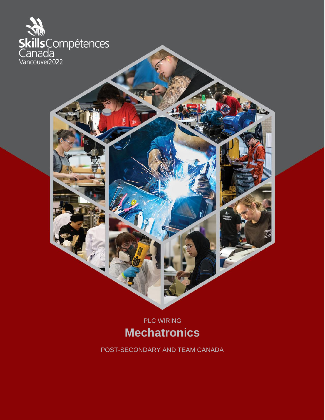

PLC WIRING **Mechatronics**

POST-SECONDARY AND TEAM CANADA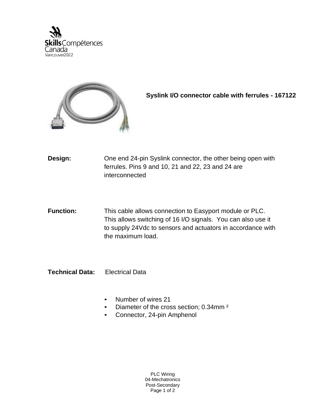



**Syslink I/O connector cable with ferrules - 167122**

- **Design:** One end 24-pin Syslink connector, the other being open with ferrules. Pins 9 and 10, 21 and 22, 23 and 24 are interconnected
- **Function:** This cable allows connection to Easyport module or PLC. This allows switching of 16 I/O signals. You can also use it to supply 24Vdc to sensors and actuators in accordance with the maximum load.
- **Technical Data:** Electrical Data
	- Number of wires 21
	- Diameter of the cross section; 0.34mm ²
	- Connector, 24-pin Amphenol

PLC Wiring 04-Mechatronics Post-Secondary Page 1 of 2